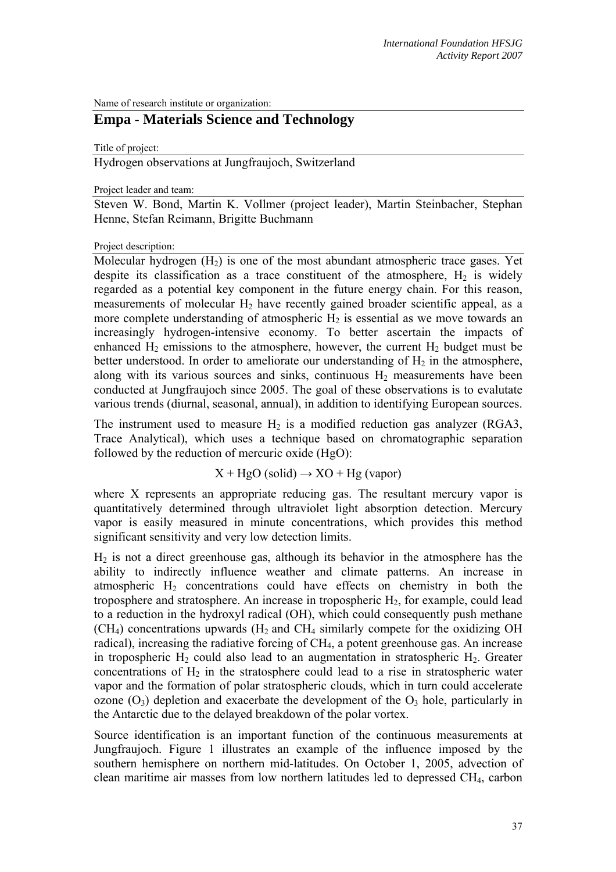Name of research institute or organization:

## **Empa - Materials Science and Technology**

Title of project:

Hydrogen observations at Jungfraujoch, Switzerland

Project leader and team:

Steven W. Bond, Martin K. Vollmer (project leader), Martin Steinbacher, Stephan Henne, Stefan Reimann, Brigitte Buchmann

Project description:

Molecular hydrogen  $(H<sub>2</sub>)$  is one of the most abundant atmospheric trace gases. Yet despite its classification as a trace constituent of the atmosphere,  $H_2$  is widely regarded as a potential key component in the future energy chain. For this reason, measurements of molecular  $H_2$  have recently gained broader scientific appeal, as a more complete understanding of atmospheric  $H_2$  is essential as we move towards an increasingly hydrogen-intensive economy. To better ascertain the impacts of enhanced  $H_2$  emissions to the atmosphere, however, the current  $H_2$  budget must be better understood. In order to ameliorate our understanding of  $H_2$  in the atmosphere, along with its various sources and sinks, continuous  $H_2$  measurements have been conducted at Jungfraujoch since 2005. The goal of these observations is to evalutate various trends (diurnal, seasonal, annual), in addition to identifying European sources.

The instrument used to measure  $H_2$  is a modified reduction gas analyzer (RGA3, Trace Analytical), which uses a technique based on chromatographic separation followed by the reduction of mercuric oxide (HgO):

 $X + HgO$  (solid)  $\rightarrow$  XO + Hg (vapor)

where X represents an appropriate reducing gas. The resultant mercury vapor is quantitatively determined through ultraviolet light absorption detection. Mercury vapor is easily measured in minute concentrations, which provides this method significant sensitivity and very low detection limits.

 $H<sub>2</sub>$  is not a direct greenhouse gas, although its behavior in the atmosphere has the ability to indirectly influence weather and climate patterns. An increase in atmospheric  $H_2$  concentrations could have effects on chemistry in both the troposphere and stratosphere. An increase in tropospheric  $H_2$ , for example, could lead to a reduction in the hydroxyl radical (OH), which could consequently push methane  $(CH<sub>4</sub>)$  concentrations upwards  $(H<sub>2</sub>$  and CH<sub>4</sub> similarly compete for the oxidizing OH radical), increasing the radiative forcing of CH<sub>4</sub>, a potent greenhouse gas. An increase in tropospheric  $H_2$  could also lead to an augmentation in stratospheric  $H_2$ . Greater concentrations of  $H_2$  in the stratosphere could lead to a rise in stratospheric water vapor and the formation of polar stratospheric clouds, which in turn could accelerate ozone  $(O_3)$  depletion and exacerbate the development of the  $O_3$  hole, particularly in the Antarctic due to the delayed breakdown of the polar vortex.

Source identification is an important function of the continuous measurements at Jungfraujoch. Figure 1 illustrates an example of the influence imposed by the southern hemisphere on northern mid-latitudes. On October 1, 2005, advection of clean maritime air masses from low northern latitudes led to depressed CH4, carbon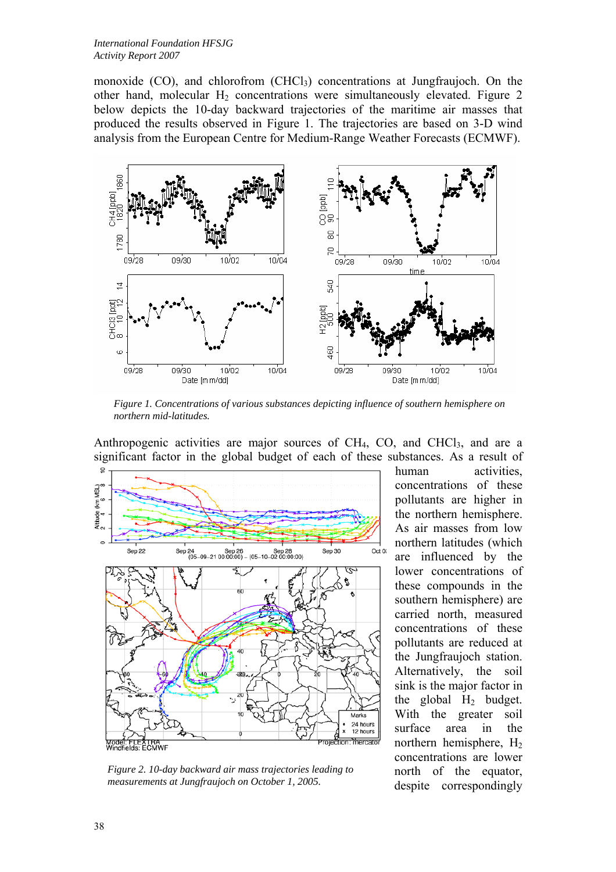monoxide  $(CO)$ , and chlorofrom  $(CHCl<sub>3</sub>)$  concentrations at Jungfraujoch. On the other hand, molecular  $H_2$  concentrations were simultaneously elevated. Figure 2 below depicts the 10-day backward trajectories of the maritime air masses that produced the results observed in Figure 1. The trajectories are based on 3-D wind analysis from the European Centre for Medium-Range Weather Forecasts (ECMWF).



*Figure 1. Concentrations of various substances depicting influence of southern hemisphere on northern mid-latitudes.* 

Anthropogenic activities are major sources of  $CH<sub>4</sub>$ , CO, and  $CHCl<sub>3</sub>$ , and are a significant factor in the global budget of each of these substances. As a result of



*Figure 2. 10-day backward air mass trajectories leading to measurements at Jungfraujoch on October 1, 2005.* 

human activities, concentrations of these pollutants are higher in the northern hemisphere. As air masses from low northern latitudes (which are influenced by the lower concentrations of these compounds in the southern hemisphere) are carried north, measured concentrations of these pollutants are reduced at the Jungfraujoch station. Alternatively, the soil sink is the major factor in the global  $H_2$  budget. With the greater soil surface area in the northern hemisphere,  $H<sub>2</sub>$ concentrations are lower north of the equator, despite correspondingly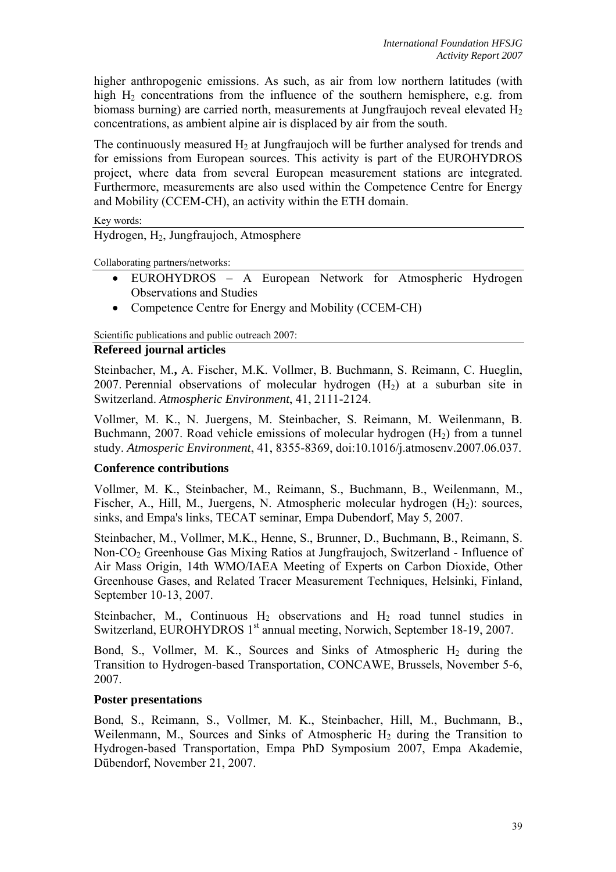higher anthropogenic emissions. As such, as air from low northern latitudes (with high  $H_2$  concentrations from the influence of the southern hemisphere, e.g. from biomass burning) are carried north, measurements at Jungfraujoch reveal elevated  $H<sub>2</sub>$ concentrations, as ambient alpine air is displaced by air from the south.

The continuously measured  $H_2$  at Jungfraujoch will be further analysed for trends and for emissions from European sources. This activity is part of the EUROHYDROS project, where data from several European measurement stations are integrated. Furthermore, measurements are also used within the Competence Centre for Energy and Mobility (CCEM-CH), an activity within the ETH domain.

Key words:

Hydrogen, H<sub>2</sub>, Jungfraujoch, Atmosphere

Collaborating partners/networks:

- EUROHYDROS A European Network for Atmospheric Hydrogen Observations and Studies
- Competence Centre for Energy and Mobility (CCEM-CH)

Scientific publications and public outreach 2007:

## **Refereed journal articles**

Steinbacher, M.**,** A. Fischer, M.K. Vollmer, B. Buchmann, S. Reimann, C. Hueglin, 2007. Perennial observations of molecular hydrogen  $(H<sub>2</sub>)$  at a suburban site in Switzerland. *Atmospheric Environment*, 41, 2111-2124.

Vollmer, M. K., N. Juergens, M. Steinbacher, S. Reimann, M. Weilenmann, B. Buchmann, 2007. Road vehicle emissions of molecular hydrogen  $(H<sub>2</sub>)$  from a tunnel study. *Atmosperic Environment*, 41, 8355-8369, doi:10.1016/j.atmosenv.2007.06.037.

## **Conference contributions**

Vollmer, M. K., Steinbacher, M., Reimann, S., Buchmann, B., Weilenmann, M., Fischer, A., Hill, M., Juergens, N. Atmospheric molecular hydrogen  $(H_2)$ : sources, sinks, and Empa's links, TECAT seminar, Empa Dubendorf, May 5, 2007.

Steinbacher, M., Vollmer, M.K., Henne, S., Brunner, D., Buchmann, B., Reimann, S. Non-CO<sub>2</sub> Greenhouse Gas Mixing Ratios at Jungfraujoch, Switzerland - Influence of Air Mass Origin, 14th WMO/IAEA Meeting of Experts on Carbon Dioxide, Other Greenhouse Gases, and Related Tracer Measurement Techniques, Helsinki, Finland, September 10-13, 2007.

Steinbacher, M., Continuous  $H_2$  observations and  $H_2$  road tunnel studies in Switzerland, EUROHYDROS 1<sup>st</sup> annual meeting, Norwich, September 18-19, 2007.

Bond, S., Vollmer, M. K., Sources and Sinks of Atmospheric  $H_2$  during the Transition to Hydrogen-based Transportation, CONCAWE, Brussels, November 5-6, 2007.

## **Poster presentations**

Bond, S., Reimann, S., Vollmer, M. K., Steinbacher, Hill, M., Buchmann, B., Weilenmann, M., Sources and Sinks of Atmospheric  $H_2$  during the Transition to Hydrogen-based Transportation, Empa PhD Symposium 2007, Empa Akademie, Dübendorf, November 21, 2007.